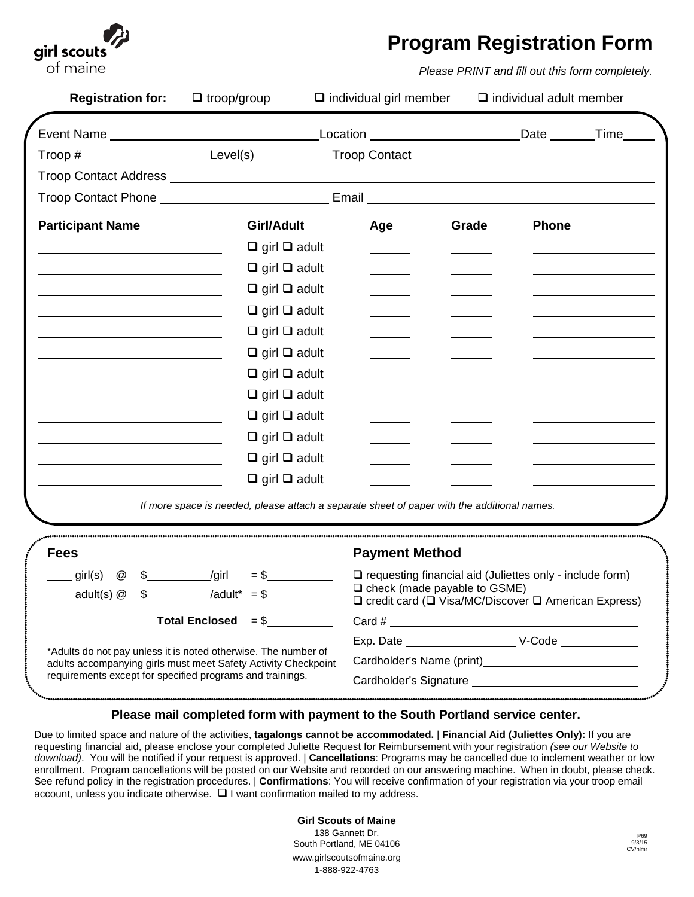

## **Program Registration Form**

*Please PRINT and fill out this form completely.*

| <b>Participant Name</b><br><u> 1980 - Johann Barbara, martxa alemaniar amerikan a</u><br><u> 1980 - Johann Barn, amerikansk politiker (</u> | Girl/Adult                                                                                  | Age                                                                                                                                                                                                                                                                                                                   | Grade | <b>Phone</b>                                                          |
|---------------------------------------------------------------------------------------------------------------------------------------------|---------------------------------------------------------------------------------------------|-----------------------------------------------------------------------------------------------------------------------------------------------------------------------------------------------------------------------------------------------------------------------------------------------------------------------|-------|-----------------------------------------------------------------------|
|                                                                                                                                             | $\Box$ girl $\Box$ adult                                                                    |                                                                                                                                                                                                                                                                                                                       |       |                                                                       |
|                                                                                                                                             | $\Box$ girl $\Box$ adult                                                                    |                                                                                                                                                                                                                                                                                                                       |       |                                                                       |
|                                                                                                                                             | $\Box$ girl $\Box$ adult                                                                    |                                                                                                                                                                                                                                                                                                                       |       |                                                                       |
|                                                                                                                                             | $\Box$ girl $\Box$ adult                                                                    |                                                                                                                                                                                                                                                                                                                       |       |                                                                       |
|                                                                                                                                             | $\Box$ girl $\Box$ adult                                                                    |                                                                                                                                                                                                                                                                                                                       |       |                                                                       |
|                                                                                                                                             | $\Box$ girl $\Box$ adult                                                                    |                                                                                                                                                                                                                                                                                                                       |       |                                                                       |
|                                                                                                                                             | $\Box$ girl $\Box$ adult                                                                    |                                                                                                                                                                                                                                                                                                                       |       |                                                                       |
|                                                                                                                                             | $\Box$ girl $\Box$ adult                                                                    |                                                                                                                                                                                                                                                                                                                       |       |                                                                       |
|                                                                                                                                             | $\Box$ girl $\Box$ adult                                                                    |                                                                                                                                                                                                                                                                                                                       |       |                                                                       |
|                                                                                                                                             | $\Box$ girl $\Box$ adult                                                                    |                                                                                                                                                                                                                                                                                                                       |       |                                                                       |
|                                                                                                                                             | $\Box$ girl $\Box$ adult                                                                    |                                                                                                                                                                                                                                                                                                                       |       |                                                                       |
|                                                                                                                                             | $\Box$ girl $\Box$ adult                                                                    |                                                                                                                                                                                                                                                                                                                       |       |                                                                       |
|                                                                                                                                             | If more space is needed, please attach a separate sheet of paper with the additional names. |                                                                                                                                                                                                                                                                                                                       |       |                                                                       |
| <b>Fees</b>                                                                                                                                 |                                                                                             | <b>Payment Method</b>                                                                                                                                                                                                                                                                                                 |       |                                                                       |
| $\text{girl}(s)$ $\textcircled{2}$ \$ /girl                                                                                                 | $=$ \$                                                                                      | $\Box$ requesting financial aid (Juliettes only - include form)<br>$\Box$ check (made payable to GSME)                                                                                                                                                                                                                |       |                                                                       |
|                                                                                                                                             |                                                                                             |                                                                                                                                                                                                                                                                                                                       |       | $\Box$ credit card ( $\Box$ Visa/MC/Discover $\Box$ American Express) |
| Total Enclosed $= $$                                                                                                                        |                                                                                             | Card # $\frac{1}{2}$ $\frac{1}{2}$ $\frac{1}{2}$ $\frac{1}{2}$ $\frac{1}{2}$ $\frac{1}{2}$ $\frac{1}{2}$ $\frac{1}{2}$ $\frac{1}{2}$ $\frac{1}{2}$ $\frac{1}{2}$ $\frac{1}{2}$ $\frac{1}{2}$ $\frac{1}{2}$ $\frac{1}{2}$ $\frac{1}{2}$ $\frac{1}{2}$ $\frac{1}{2}$ $\frac{1}{2}$ $\frac{1}{2}$ $\frac{1}{2}$ $\frac{$ |       |                                                                       |
|                                                                                                                                             | *Adults do not pay unless it is noted otherwise. The number of                              |                                                                                                                                                                                                                                                                                                                       |       |                                                                       |
| adults accompanying girls must meet Safety Activity Checkpoint                                                                              |                                                                                             |                                                                                                                                                                                                                                                                                                                       |       |                                                                       |
| requirements except for specified programs and trainings.                                                                                   |                                                                                             |                                                                                                                                                                                                                                                                                                                       |       |                                                                       |

#### **Please mail completed form with payment to the South Portland service center.**

Due to limited space and nature of the activities, **tagalongs cannot be accommodated.** | **Financial Aid (Juliettes Only):** If you are requesting financial aid, please enclose your completed Juliette Request for Reimbursement with your registration *(see our Website to download)*. You will be notified if your request is approved. | **Cancellations**: Programs may be cancelled due to inclement weather or low enrollment. Program cancellations will be posted on our Website and recorded on our answering machine. When in doubt, please check. See refund policy in the registration procedures. | **Confirmations**: You will receive confirmation of your registration via your troop email account, unless you indicate otherwise.  $\Box$  I want confirmation mailed to my address.

> **Girl Scouts of Maine** 138 Gannett Dr. South Portland, ME 04106 www.girlscoutsofmaine.org 1-888-922-4763